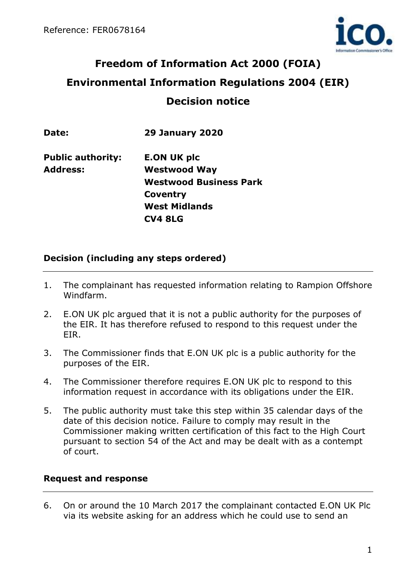

# **Freedom of Information Act 2000 (FOIA) Environmental Information Regulations 2004 (EIR) Decision notice**

| Date:                    | <b>29 January 2020</b>        |
|--------------------------|-------------------------------|
| <b>Public authority:</b> | <b>E.ON UK plc</b>            |
| <b>Address:</b>          | <b>Westwood Way</b>           |
|                          | <b>Westwood Business Park</b> |
|                          | Coventry                      |
|                          | <b>West Midlands</b>          |

### **CV4 8LG**

## **Decision (including any steps ordered)**

- 1. The complainant has requested information relating to Rampion Offshore Windfarm.
- 2. E.ON UK plc argued that it is not a public authority for the purposes of the EIR. It has therefore refused to respond to this request under the EIR.
- 3. The Commissioner finds that E.ON UK plc is a public authority for the purposes of the EIR.
- 4. The Commissioner therefore requires E.ON UK plc to respond to this information request in accordance with its obligations under the EIR.
- 5. The public authority must take this step within 35 calendar days of the date of this decision notice. Failure to comply may result in the Commissioner making written certification of this fact to the High Court pursuant to section 54 of the Act and may be dealt with as a contempt of court.

## **Request and response**

6. On or around the 10 March 2017 the complainant contacted E.ON UK Plc via its website asking for an address which he could use to send an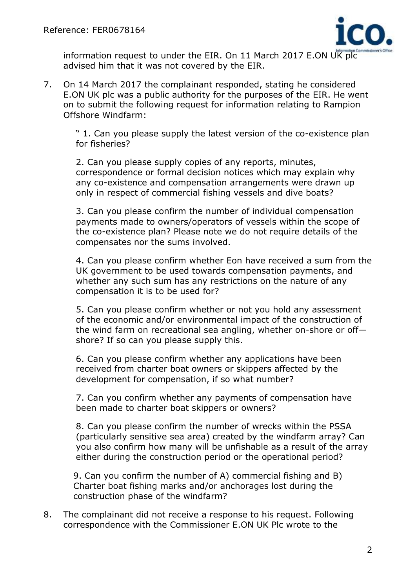

information request to under the EIR. On 11 March 2017 E.ON UK plc advised him that it was not covered by the EIR.

7. On 14 March 2017 the complainant responded, stating he considered E.ON UK plc was a public authority for the purposes of the EIR. He went on to submit the following request for information relating to Rampion Offshore Windfarm:

" 1. Can you please supply the latest version of the co-existence plan for fisheries?

2. Can you please supply copies of any reports, minutes, correspondence or formal decision notices which may explain why any co-existence and compensation arrangements were drawn up only in respect of commercial fishing vessels and dive boats?

3. Can you please confirm the number of individual compensation payments made to owners/operators of vessels within the scope of the co-existence plan? Please note we do not require details of the compensates nor the sums involved.

4. Can you please confirm whether Eon have received a sum from the UK government to be used towards compensation payments, and whether any such sum has any restrictions on the nature of any compensation it is to be used for?

5. Can you please confirm whether or not you hold any assessment of the economic and/or environmental impact of the construction of the wind farm on recreational sea angling, whether on-shore or off shore? If so can you please supply this.

6. Can you please confirm whether any applications have been received from charter boat owners or skippers affected by the development for compensation, if so what number?

7. Can you confirm whether any payments of compensation have been made to charter boat skippers or owners?

8. Can you please confirm the number of wrecks within the PSSA (particularly sensitive sea area) created by the windfarm array? Can you also confirm how many will be unfishable as a result of the array either during the construction period or the operational period?

9. Can you confirm the number of A) commercial fishing and B) Charter boat fishing marks and/or anchorages lost during the construction phase of the windfarm?

8. The complainant did not receive a response to his request. Following correspondence with the Commissioner E.ON UK Plc wrote to the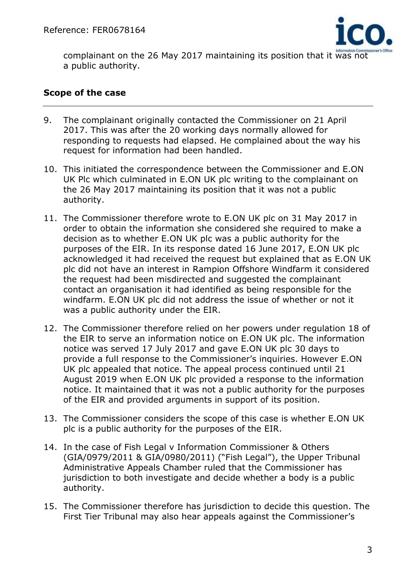

complainant on the 26 May 2017 maintaining its position that it was not a public authority.

### **Scope of the case**

- 9. The complainant originally contacted the Commissioner on 21 April 2017. This was after the 20 working days normally allowed for responding to requests had elapsed. He complained about the way his request for information had been handled.
- 10. This initiated the correspondence between the Commissioner and E.ON UK Plc which culminated in E.ON UK plc writing to the complainant on the 26 May 2017 maintaining its position that it was not a public authority.
- 11. The Commissioner therefore wrote to E.ON UK plc on 31 May 2017 in order to obtain the information she considered she required to make a decision as to whether E.ON UK plc was a public authority for the purposes of the EIR. In its response dated 16 June 2017, E.ON UK plc acknowledged it had received the request but explained that as E.ON UK plc did not have an interest in Rampion Offshore Windfarm it considered the request had been misdirected and suggested the complainant contact an organisation it had identified as being responsible for the windfarm. E.ON UK plc did not address the issue of whether or not it was a public authority under the EIR.
- 12. The Commissioner therefore relied on her powers under regulation 18 of the EIR to serve an information notice on E.ON UK plc. The information notice was served 17 July 2017 and gave E.ON UK plc 30 days to provide a full response to the Commissioner's inquiries. However E.ON UK plc appealed that notice. The appeal process continued until 21 August 2019 when E.ON UK plc provided a response to the information notice. It maintained that it was not a public authority for the purposes of the EIR and provided arguments in support of its position.
- 13. The Commissioner considers the scope of this case is whether E.ON UK plc is a public authority for the purposes of the EIR.
- 14. In the case of Fish Legal v Information Commissioner & Others (GIA/0979/2011 & GIA/0980/2011) ("Fish Legal"), the Upper Tribunal Administrative Appeals Chamber ruled that the Commissioner has jurisdiction to both investigate and decide whether a body is a public authority.
- 15. The Commissioner therefore has jurisdiction to decide this question. The First Tier Tribunal may also hear appeals against the Commissioner's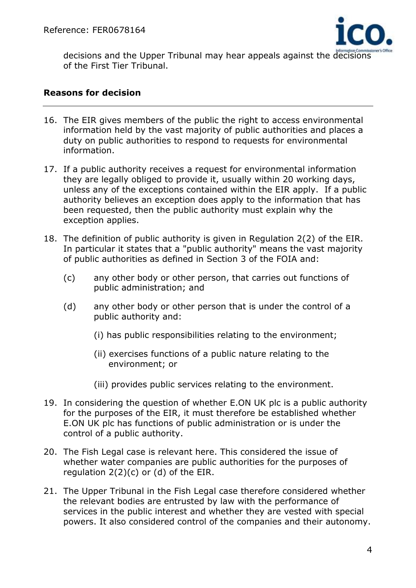

decisions and the Upper Tribunal may hear appeals against the decisions of the First Tier Tribunal.

#### **Reasons for decision**

- 16. The EIR gives members of the public the right to access environmental information held by the vast majority of public authorities and places a duty on public authorities to respond to requests for environmental information.
- 17. If a public authority receives a request for environmental information they are legally obliged to provide it, usually within 20 working days, unless any of the exceptions contained within the EIR apply. If a public authority believes an exception does apply to the information that has been requested, then the public authority must explain why the exception applies.
- 18. The definition of public authority is given in Regulation 2(2) of the EIR. In particular it states that a "public authority" means the vast majority of public authorities as defined in Section 3 of the FOIA and:
	- (c) any other body or other person, that carries out functions of public administration; and
	- (d) any other body or other person that is under the control of a public authority and:
		- (i) has public responsibilities relating to the environment;
		- (ii) exercises functions of a public nature relating to the environment; or
		- (iii) provides public services relating to the environment.
- 19. In considering the question of whether E.ON UK plc is a public authority for the purposes of the EIR, it must therefore be established whether E.ON UK plc has functions of public administration or is under the control of a public authority.
- 20. The Fish Legal case is relevant here. This considered the issue of whether water companies are public authorities for the purposes of regulation  $2(2)(c)$  or  $(d)$  of the EIR.
- 21. The Upper Tribunal in the Fish Legal case therefore considered whether the relevant bodies are entrusted by law with the performance of services in the public interest and whether they are vested with special powers. It also considered control of the companies and their autonomy.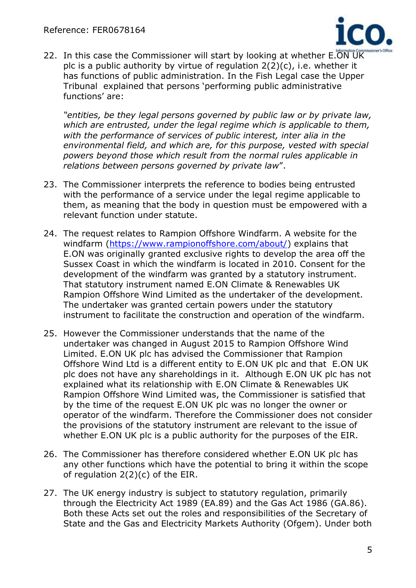

22. In this case the Commissioner will start by looking at whether E.ON UK plc is a public authority by virtue of regulation 2(2)(c), i.e. whether it has functions of public administration. In the Fish Legal case the Upper Tribunal explained that persons 'performing public administrative functions' are:

*"entities, be they legal persons governed by public law or by private law, which are entrusted, under the legal regime which is applicable to them, with the performance of services of public interest, inter alia in the environmental field, and which are, for this purpose, vested with special powers beyond those which result from the normal rules applicable in relations between persons governed by private law*".

- 23. The Commissioner interprets the reference to bodies being entrusted with the performance of a service under the legal regime applicable to them, as meaning that the body in question must be empowered with a relevant function under statute.
- 24. The request relates to Rampion Offshore Windfarm. A website for the windfarm [\(https://www.rampionoffshore.com/about/\)](https://www.rampionoffshore.com/about/) explains that E.ON was originally granted exclusive rights to develop the area off the Sussex Coast in which the windfarm is located in 2010. Consent for the development of the windfarm was granted by a statutory instrument. That statutory instrument named E.ON Climate & Renewables UK Rampion Offshore Wind Limited as the undertaker of the development. The undertaker was granted certain powers under the statutory instrument to facilitate the construction and operation of the windfarm.
- 25. However the Commissioner understands that the name of the undertaker was changed in August 2015 to Rampion Offshore Wind Limited. E.ON UK plc has advised the Commissioner that Rampion Offshore Wind Ltd is a different entity to E.ON UK plc and that E.ON UK plc does not have any shareholdings in it. Although E.ON UK plc has not explained what its relationship with E.ON Climate & Renewables UK Rampion Offshore Wind Limited was, the Commissioner is satisfied that by the time of the request E.ON UK plc was no longer the owner or operator of the windfarm. Therefore the Commissioner does not consider the provisions of the statutory instrument are relevant to the issue of whether E.ON UK plc is a public authority for the purposes of the EIR.
- 26. The Commissioner has therefore considered whether E.ON UK plc has any other functions which have the potential to bring it within the scope of regulation 2(2)(c) of the EIR.
- 27. The UK energy industry is subject to statutory regulation, primarily through the Electricity Act 1989 (EA.89) and the Gas Act 1986 (GA.86). Both these Acts set out the roles and responsibilities of the Secretary of State and the Gas and Electricity Markets Authority (Ofgem). Under both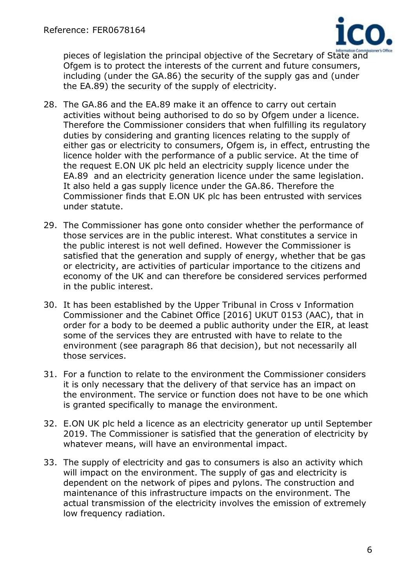

pieces of legislation the principal objective of the Secretary of State and Ofgem is to protect the interests of the current and future consumers, including (under the GA.86) the security of the supply gas and (under the EA.89) the security of the supply of electricity.

- 28. The GA.86 and the EA.89 make it an offence to carry out certain activities without being authorised to do so by Ofgem under a licence. Therefore the Commissioner considers that when fulfilling its regulatory duties by considering and granting licences relating to the supply of either gas or electricity to consumers, Ofgem is, in effect, entrusting the licence holder with the performance of a public service. At the time of the request E.ON UK plc held an electricity supply licence under the EA.89 and an electricity generation licence under the same legislation. It also held a gas supply licence under the GA.86. Therefore the Commissioner finds that E.ON UK plc has been entrusted with services under statute.
- 29. The Commissioner has gone onto consider whether the performance of those services are in the public interest. What constitutes a service in the public interest is not well defined. However the Commissioner is satisfied that the generation and supply of energy, whether that be gas or electricity, are activities of particular importance to the citizens and economy of the UK and can therefore be considered services performed in the public interest.
- 30. It has been established by the Upper Tribunal in Cross v Information Commissioner and the Cabinet Office [2016] UKUT 0153 (AAC), that in order for a body to be deemed a public authority under the EIR, at least some of the services they are entrusted with have to relate to the environment (see paragraph 86 that decision), but not necessarily all those services.
- 31. For a function to relate to the environment the Commissioner considers it is only necessary that the delivery of that service has an impact on the environment. The service or function does not have to be one which is granted specifically to manage the environment.
- 32. E.ON UK plc held a licence as an electricity generator up until September 2019. The Commissioner is satisfied that the generation of electricity by whatever means, will have an environmental impact.
- 33. The supply of electricity and gas to consumers is also an activity which will impact on the environment. The supply of gas and electricity is dependent on the network of pipes and pylons. The construction and maintenance of this infrastructure impacts on the environment. The actual transmission of the electricity involves the emission of extremely low frequency radiation.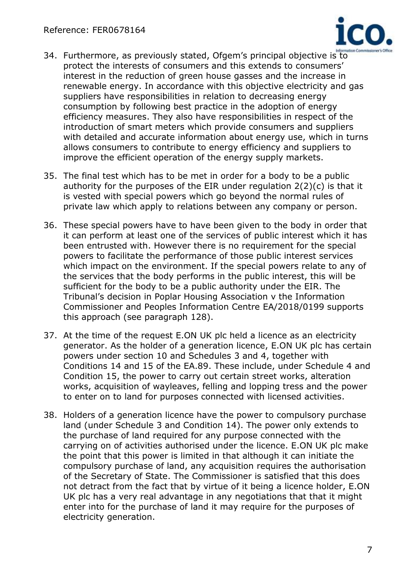

- 34. Furthermore, as previously stated, Ofgem's principal objective is to protect the interests of consumers and this extends to consumers' interest in the reduction of green house gasses and the increase in renewable energy. In accordance with this objective electricity and gas suppliers have responsibilities in relation to decreasing energy consumption by following best practice in the adoption of energy efficiency measures. They also have responsibilities in respect of the introduction of smart meters which provide consumers and suppliers with detailed and accurate information about energy use, which in turns allows consumers to contribute to energy efficiency and suppliers to improve the efficient operation of the energy supply markets.
- 35. The final test which has to be met in order for a body to be a public authority for the purposes of the EIR under regulation 2(2)(c) is that it is vested with special powers which go beyond the normal rules of private law which apply to relations between any company or person.
- 36. These special powers have to have been given to the body in order that it can perform at least one of the services of public interest which it has been entrusted with. However there is no requirement for the special powers to facilitate the performance of those public interest services which impact on the environment. If the special powers relate to any of the services that the body performs in the public interest, this will be sufficient for the body to be a public authority under the EIR. The Tribunal's decision in Poplar Housing Association v the Information Commissioner and Peoples Information Centre EA/2018/0199 supports this approach (see paragraph 128).
- 37. At the time of the request E.ON UK plc held a licence as an electricity generator. As the holder of a generation licence, E.ON UK plc has certain powers under section 10 and Schedules 3 and 4, together with Conditions 14 and 15 of the EA.89. These include, under Schedule 4 and Condition 15, the power to carry out certain street works, alteration works, acquisition of wayleaves, felling and lopping tress and the power to enter on to land for purposes connected with licensed activities.
- 38. Holders of a generation licence have the power to compulsory purchase land (under Schedule 3 and Condition 14). The power only extends to the purchase of land required for any purpose connected with the carrying on of activities authorised under the licence. E.ON UK plc make the point that this power is limited in that although it can initiate the compulsory purchase of land, any acquisition requires the authorisation of the Secretary of State. The Commissioner is satisfied that this does not detract from the fact that by virtue of it being a licence holder, E.ON UK plc has a very real advantage in any negotiations that that it might enter into for the purchase of land it may require for the purposes of electricity generation.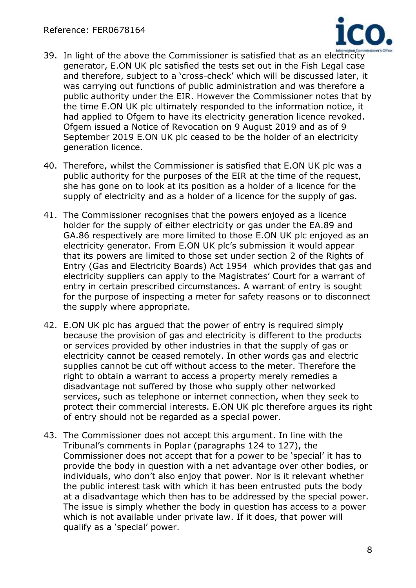

- 39. In light of the above the Commissioner is satisfied that as an electricity generator, E.ON UK plc satisfied the tests set out in the Fish Legal case and therefore, subject to a 'cross-check' which will be discussed later, it was carrying out functions of public administration and was therefore a public authority under the EIR. However the Commissioner notes that by the time E.ON UK plc ultimately responded to the information notice, it had applied to Ofgem to have its electricity generation licence revoked. Ofgem issued a Notice of Revocation on 9 August 2019 and as of 9 September 2019 E.ON UK plc ceased to be the holder of an electricity generation licence.
- 40. Therefore, whilst the Commissioner is satisfied that E.ON UK plc was a public authority for the purposes of the EIR at the time of the request, she has gone on to look at its position as a holder of a licence for the supply of electricity and as a holder of a licence for the supply of gas.
- 41. The Commissioner recognises that the powers enjoyed as a licence holder for the supply of either electricity or gas under the EA.89 and GA.86 respectively are more limited to those E.ON UK plc enjoyed as an electricity generator. From E.ON UK plc's submission it would appear that its powers are limited to those set under section 2 of the Rights of Entry (Gas and Electricity Boards) Act 1954 which provides that gas and electricity suppliers can apply to the Magistrates' Court for a warrant of entry in certain prescribed circumstances. A warrant of entry is sought for the purpose of inspecting a meter for safety reasons or to disconnect the supply where appropriate.
- 42. E.ON UK plc has argued that the power of entry is required simply because the provision of gas and electricity is different to the products or services provided by other industries in that the supply of gas or electricity cannot be ceased remotely. In other words gas and electric supplies cannot be cut off without access to the meter. Therefore the right to obtain a warrant to access a property merely remedies a disadvantage not suffered by those who supply other networked services, such as telephone or internet connection, when they seek to protect their commercial interests. E.ON UK plc therefore argues its right of entry should not be regarded as a special power.
- 43. The Commissioner does not accept this argument. In line with the Tribunal's comments in Poplar (paragraphs 124 to 127), the Commissioner does not accept that for a power to be 'special' it has to provide the body in question with a net advantage over other bodies, or individuals, who don't also enjoy that power. Nor is it relevant whether the public interest task with which it has been entrusted puts the body at a disadvantage which then has to be addressed by the special power. The issue is simply whether the body in question has access to a power which is not available under private law. If it does, that power will qualify as a 'special' power.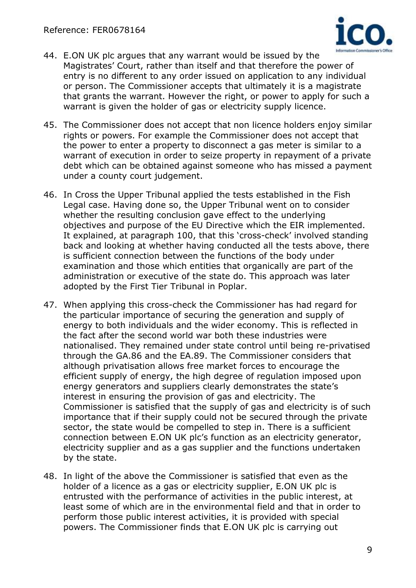

- 44. E.ON UK plc argues that any warrant would be issued by the Magistrates' Court, rather than itself and that therefore the power of entry is no different to any order issued on application to any individual or person. The Commissioner accepts that ultimately it is a magistrate that grants the warrant. However the right, or power to apply for such a warrant is given the holder of gas or electricity supply licence.
- 45. The Commissioner does not accept that non licence holders enjoy similar rights or powers. For example the Commissioner does not accept that the power to enter a property to disconnect a gas meter is similar to a warrant of execution in order to seize property in repayment of a private debt which can be obtained against someone who has missed a payment under a county court judgement.
- 46. In Cross the Upper Tribunal applied the tests established in the Fish Legal case. Having done so, the Upper Tribunal went on to consider whether the resulting conclusion gave effect to the underlying objectives and purpose of the EU Directive which the EIR implemented. It explained, at paragraph 100, that this 'cross-check' involved standing back and looking at whether having conducted all the tests above, there is sufficient connection between the functions of the body under examination and those which entities that organically are part of the administration or executive of the state do. This approach was later adopted by the First Tier Tribunal in Poplar.
- 47. When applying this cross-check the Commissioner has had regard for the particular importance of securing the generation and supply of energy to both individuals and the wider economy. This is reflected in the fact after the second world war both these industries were nationalised. They remained under state control until being re-privatised through the GA.86 and the EA.89. The Commissioner considers that although privatisation allows free market forces to encourage the efficient supply of energy, the high degree of regulation imposed upon energy generators and suppliers clearly demonstrates the state's interest in ensuring the provision of gas and electricity. The Commissioner is satisfied that the supply of gas and electricity is of such importance that if their supply could not be secured through the private sector, the state would be compelled to step in. There is a sufficient connection between E.ON UK plc's function as an electricity generator, electricity supplier and as a gas supplier and the functions undertaken by the state.
- 48. In light of the above the Commissioner is satisfied that even as the holder of a licence as a gas or electricity supplier, E.ON UK plc is entrusted with the performance of activities in the public interest, at least some of which are in the environmental field and that in order to perform those public interest activities, it is provided with special powers. The Commissioner finds that E.ON UK plc is carrying out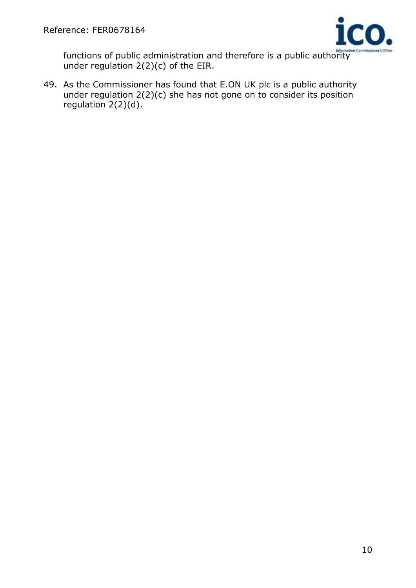

functions of public administration and therefore is a public authority under regulation 2(2)(c) of the EIR.

49. As the Commissioner has found that E.ON UK plc is a public authority under regulation  $2(2)(c)$  she has not gone on to consider its position regulation 2(2)(d).